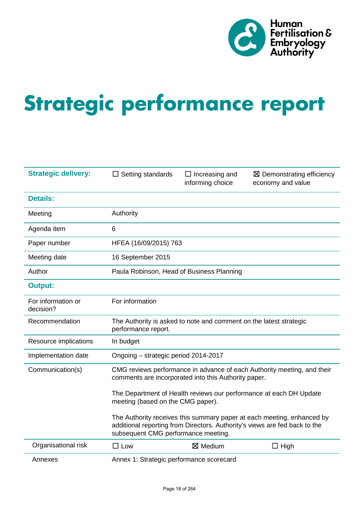

# **Strategic performance report**

| <b>Strategic delivery:</b>      | Setting standards                                                                                                                                                                           | $\Box$ Increasing and<br>informing choice | $\boxtimes$ Demonstrating efficiency<br>economy and value |  |  |  |  |  |  |
|---------------------------------|---------------------------------------------------------------------------------------------------------------------------------------------------------------------------------------------|-------------------------------------------|-----------------------------------------------------------|--|--|--|--|--|--|
| <b>Details:</b>                 |                                                                                                                                                                                             |                                           |                                                           |  |  |  |  |  |  |
| Meeting                         | Authority                                                                                                                                                                                   |                                           |                                                           |  |  |  |  |  |  |
| Agenda item                     | 6                                                                                                                                                                                           |                                           |                                                           |  |  |  |  |  |  |
| Paper number                    |                                                                                                                                                                                             | HFEA (16/09/2015) 763                     |                                                           |  |  |  |  |  |  |
| Meeting date                    | 16 September 2015                                                                                                                                                                           |                                           |                                                           |  |  |  |  |  |  |
| Author                          |                                                                                                                                                                                             | Paula Robinson, Head of Business Planning |                                                           |  |  |  |  |  |  |
| <b>Output:</b>                  |                                                                                                                                                                                             |                                           |                                                           |  |  |  |  |  |  |
| For information or<br>decision? | For information                                                                                                                                                                             |                                           |                                                           |  |  |  |  |  |  |
| Recommendation                  | The Authority is asked to note and comment on the latest strategic<br>performance report.                                                                                                   |                                           |                                                           |  |  |  |  |  |  |
| Resource implications           | In budget                                                                                                                                                                                   |                                           |                                                           |  |  |  |  |  |  |
| Implementation date             | Ongoing - strategic period 2014-2017                                                                                                                                                        |                                           |                                                           |  |  |  |  |  |  |
| Communication(s)                | CMG reviews performance in advance of each Authority meeting, and their<br>comments are incorporated into this Authority paper.                                                             |                                           |                                                           |  |  |  |  |  |  |
|                                 | The Department of Health reviews our performance at each DH Update<br>meeting (based on the CMG paper).                                                                                     |                                           |                                                           |  |  |  |  |  |  |
|                                 | The Authority receives this summary paper at each meeting, enhanced by<br>additional reporting from Directors. Authority's views are fed back to the<br>subsequent CMG performance meeting. |                                           |                                                           |  |  |  |  |  |  |
| Organisational risk             | $\Box$ Low                                                                                                                                                                                  | $\boxtimes$ Medium                        | $\Box$ High                                               |  |  |  |  |  |  |
| Annexes                         | Annex 1: Strategic performance scorecard                                                                                                                                                    |                                           |                                                           |  |  |  |  |  |  |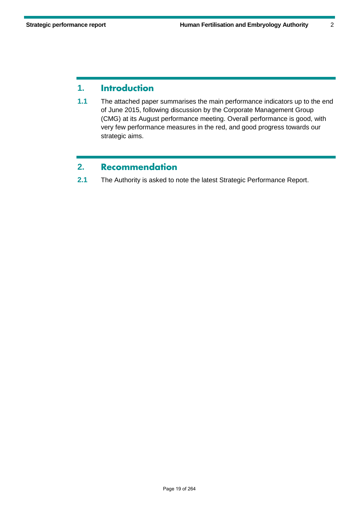# **1. Introduction**

**1.1** The attached paper summarises the main performance indicators up to the end of June 2015, following discussion by the Corporate Management Group (CMG) at its August performance meeting. Overall performance is good, with very few performance measures in the red, and good progress towards our strategic aims.

# **2. Recommendation**

**2.1** The Authority is asked to note the latest Strategic Performance Report.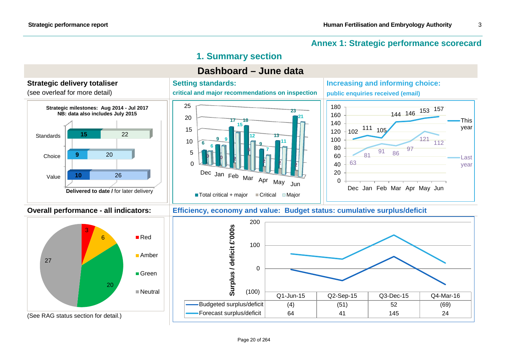# **Annex 1: Strategic performance scorecard**

# **1. Summary section**

# **Dashboard – June data**







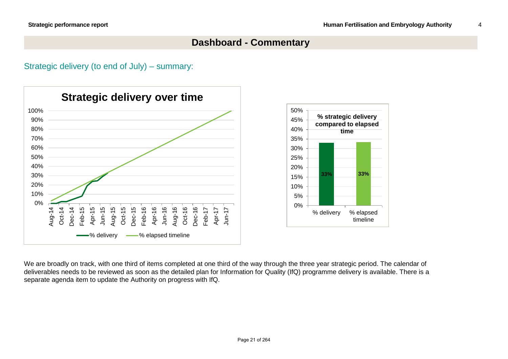# **Dashboard - Commentary**

Strategic delivery (to end of July) – summary:



We are broadly on track, with one third of items completed at one third of the way through the three year strategic period. The calendar of deliverables needs to be reviewed as soon as the detailed plan for Information for Quality (IfQ) programme delivery is available. There is a separate agenda item to update the Authority on progress with IfQ.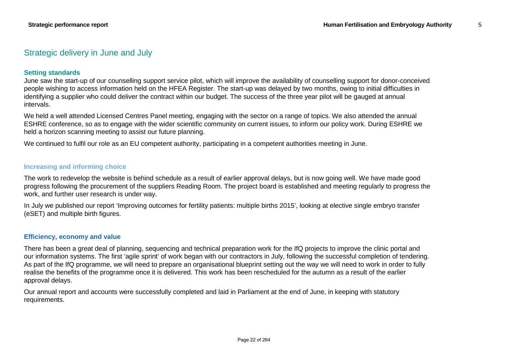### Strategic delivery in June and July

### **Setting standards**

June saw the start-up of our counselling support service pilot, which will improve the availability of counselling support for donor-conceived people wishing to access information held on the HFEA Register. The start-up was delayed by two months, owing to initial difficulties in identifying a supplier who could deliver the contract within our budget. The success of the three year pilot will be gauged at annual intervals.

We held a well attended Licensed Centres Panel meeting, engaging with the sector on a range of topics. We also attended the annual ESHRE conference, so as to engage with the wider scientific community on current issues, to inform our policy work. During ESHRE we held a horizon scanning meeting to assist our future planning.

We continued to fulfil our role as an EU competent authority, participating in a competent authorities meeting in June.

#### **Increasing and informing choice**

The work to redevelop the website is behind schedule as a result of earlier approval delays, but is now going well. We have made good progress following the procurement of the suppliers Reading Room. The project board is established and meeting regularly to progress the work, and further user research is under way.

In July we published our report 'Improving outcomes for fertility patients: multiple births 2015', looking at elective single embryo transfer (eSET) and multiple birth figures.

### **Efficiency, economy and value**

There has been a great deal of planning, sequencing and technical preparation work for the IfQ projects to improve the clinic portal and our information systems. The first 'agile sprint' of work began with our contractors in July, following the successful completion of tendering. As part of the IfQ programme, we will need to prepare an organisational blueprint setting out the way we will need to work in order to fully realise the benefits of the programme once it is delivered. This work has been rescheduled for the autumn as a result of the earlier approval delays.

Our annual report and accounts were successfully completed and laid in Parliament at the end of June, in keeping with statutory requirements.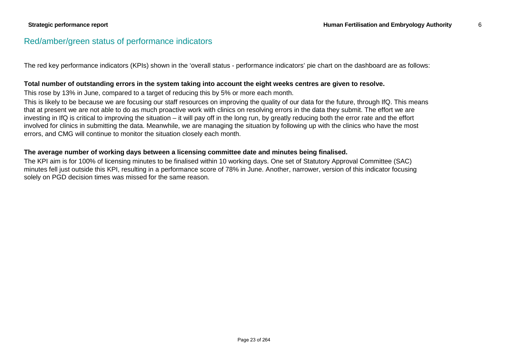### Red/amber/green status of performance indicators

The red key performance indicators (KPIs) shown in the 'overall status - performance indicators' pie chart on the dashboard are as follows:

#### **Total number of outstanding errors in the system taking into account the eight weeks centres are given to resolve.**

This rose by 13% in June, compared to a target of reducing this by 5% or more each month.

This is likely to be because we are focusing our staff resources on improving the quality of our data for the future, through IfQ. This means that at present we are not able to do as much proactive work with clinics on resolving errors in the data they submit. The effort we are investing in IfQ is critical to improving the situation – it will pay off in the long run, by greatly reducing both the error rate and the effort involved for clinics in submitting the data. Meanwhile, we are managing the situation by following up with the clinics who have the most errors, and CMG will continue to monitor the situation closely each month.

#### **The average number of working days between a licensing committee date and minutes being finalised.**

The KPI aim is for 100% of licensing minutes to be finalised within 10 working days. One set of Statutory Approval Committee (SAC) minutes fell just outside this KPI, resulting in a performance score of 78% in June. Another, narrower, version of this indicator focusing solely on PGD decision times was missed for the same reason.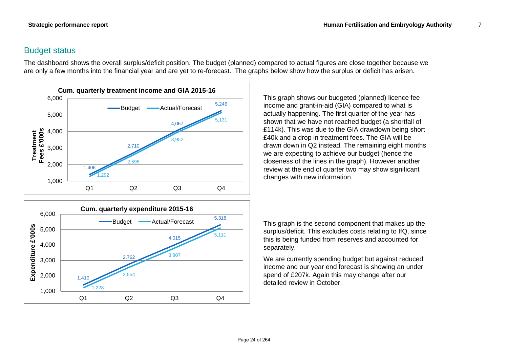# Budget status

The dashboard shows the overall surplus/deficit position. The budget (planned) compared to actual figures are close together because we are only a few months into the financial year and are yet to re-forecast. The graphs below show how the surplus or deficit has arisen.





This graph shows our budgeted (planned) licence fee income and grant-in-aid (GIA) compared to what is actually happening. The first quarter of the year has shown that we have not reached budget (a shortfall of £114k). This was due to the GIA drawdown being short £40k and a drop in treatment fees. The GIA will be drawn down in Q2 instead. The remaining eight months we are expecting to achieve our budget (hence the closeness of the lines in the graph). However another review at the end of quarter two may show significant changes with new information.

This graph is the second component that makes up the surplus/deficit. This excludes costs relating to IfQ, since this is being funded from reserves and accounted for separately.

We are currently spending budget but against reduced income and our year end forecast is showing an under spend of £207k. Again this may change after our detailed review in October.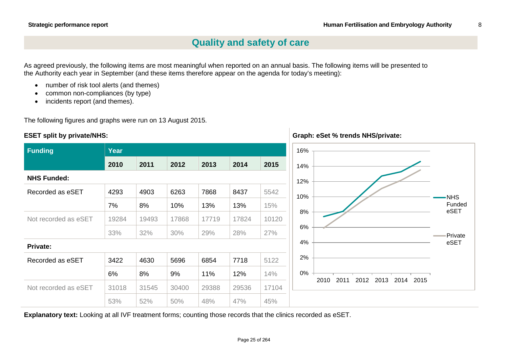**Graph: eSet % trends NHS/private:**

# **Quality and safety of care**

As agreed previously, the following items are most meaningful when reported on an annual basis. The following items will be presented to the Authority each year in September (and these items therefore appear on the agenda for today's meeting):

- number of risk tool alerts (and themes)
- common non-compliances (by type)
- incidents report (and themes).

The following figures and graphs were run on 13 August 2015.

### **ESET split by private/NHS:**

| <b>Funding</b>       | <b>Year</b> |       |       |       |       |       |
|----------------------|-------------|-------|-------|-------|-------|-------|
|                      | 2010        | 2011  | 2012  | 2013  | 2014  | 2015  |
| <b>NHS Funded:</b>   |             |       |       |       |       |       |
| Recorded as eSET     | 4293        | 4903  | 6263  | 7868  | 8437  | 5542  |
|                      | 7%          | 8%    | 10%   | 13%   | 13%   | 15%   |
| Not recorded as eSET | 19284       | 19493 | 17868 | 17719 | 17824 | 10120 |
|                      | 33%         | 32%   | 30%   | 29%   | 28%   | 27%   |
| Private:             |             |       |       |       |       |       |
| Recorded as eSET     | 3422        | 4630  | 5696  | 6854  | 7718  | 5122  |
|                      | 6%          | 8%    | 9%    | 11%   | 12%   | 14%   |
| Not recorded as eSET | 31018       | 31545 | 30400 | 29388 | 29536 | 17104 |
|                      | 53%         | 52%   | 50%   | 48%   | 47%   | 45%   |

**Explanatory text:** Looking at all IVF treatment forms; counting those records that the clinics recorded as eSET.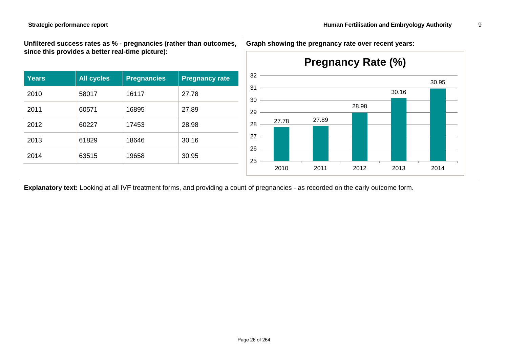**Unfiltered success rates as % - pregnancies (rather than outcomes, since this provides a better real-time picture):**

| <b>Years</b> | <b>All cycles</b> | <b>Pregnancies</b> | <b>Pregnancy rate</b> |
|--------------|-------------------|--------------------|-----------------------|
| 2010         | 58017             | 16117              | 27.78                 |
| 2011         | 60571             | 16895              | 27.89                 |
| 2012         | 60227             | 17453              | 28.98                 |
| 2013         | 61829             | 18646              | 30.16                 |
| 2014         | 63515             | 19658              | 30.95                 |

**Graph showing the pregnancy rate over recent years:**



**Explanatory text:** Looking at all IVF treatment forms, and providing a count of pregnancies - as recorded on the early outcome form.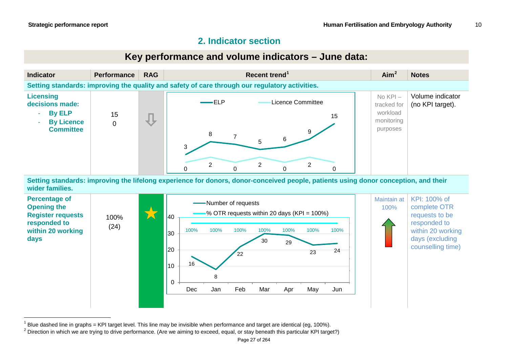# <span id="page-9-1"></span><span id="page-9-0"></span>**2. Indicator section**



**Setting standards: improving the lifelong experience for donors, donor-conceived people, patients using donor conception, and their wider families.**



 $1$  Blue dashed line in graphs = KPI target level. This line may be invisible when performance and target are identical (eg, 100%).

<sup>&</sup>lt;sup>2</sup> Direction in which we are trying to drive performance. (Are we aiming to exceed, equal, or stay beneath this particular KPI target?)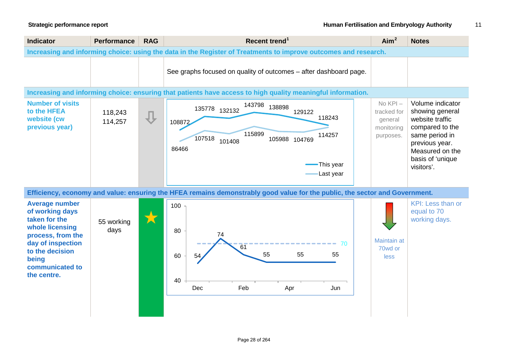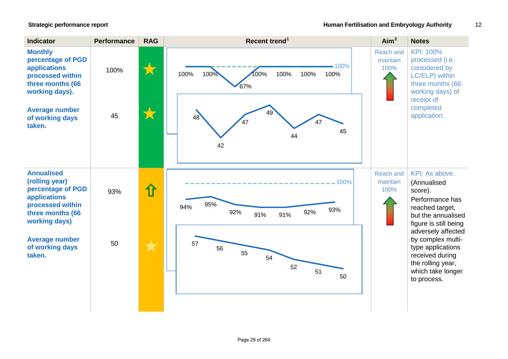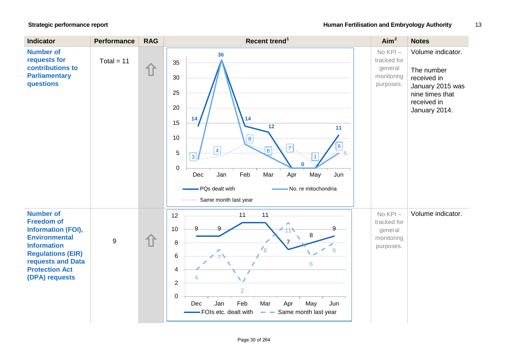| <b>Indicator</b>                                                                                                                                                                                             | <b>Performance</b> | <b>RAG</b> | Recent trend <sup>1</sup>                                                                                                                                                                                                                                                                                                  | Aim <sup>2</sup>                                                | <b>Notes</b>                                                                                                          |
|--------------------------------------------------------------------------------------------------------------------------------------------------------------------------------------------------------------|--------------------|------------|----------------------------------------------------------------------------------------------------------------------------------------------------------------------------------------------------------------------------------------------------------------------------------------------------------------------------|-----------------------------------------------------------------|-----------------------------------------------------------------------------------------------------------------------|
| <b>Number of</b><br>requests for<br>contributions to<br><b>Parliamentary</b><br>questions                                                                                                                    | Total = $11$       | 伯          | 36<br>35<br>30<br>25<br>20<br>14<br>14<br>15<br>12<br>11<br>10<br>$\lvert \mathbf{8} \rvert$<br>$\overline{\mathcal{T}}$<br>6<br>$\overline{4}$<br>$6 -$<br>5<br>$\mathbf{3}$<br>n<br>$\boldsymbol{0}$<br>Feb<br>Mar<br>Apr<br>May<br>Jun<br>Dec<br>Jan<br>- PQs dealt with<br>No. re mitochondria<br>Same month last year | $No KPI -$<br>tracked for<br>general<br>monitoring<br>purposes. | Volume indicator.<br>The number<br>received in<br>January 2015 was<br>nine times that<br>received in<br>January 2014. |
| <b>Number of</b><br><b>Freedom of</b><br><b>Information (FOI),</b><br><b>Environmental</b><br><b>Information</b><br><b>Regulations (EIR)</b><br>requests and Data<br><b>Protection Act</b><br>(DPA) requests | 9                  | 1ì         | 11<br>11<br>12<br>∧<br>9<br>$\mathsf{Q}$<br>10<br>8<br>8<br>$\mathcal{V}_8$<br>8<br>$6\phantom{1}6$<br>6<br>4<br>$\overline{2}$<br>$\overline{2}$<br>$\mathbf 0$<br>Feb<br>Jan<br>Mar<br>Apr<br>May<br>Jun<br>Dec<br>- FOIs etc. dealt with<br>Same month last year<br>$\qquad \qquad \blacksquare$                        | $No KPI -$<br>tracked for<br>general<br>monitoring<br>purposes. | Volume indicator.                                                                                                     |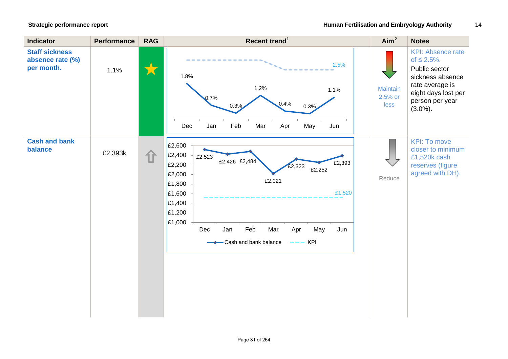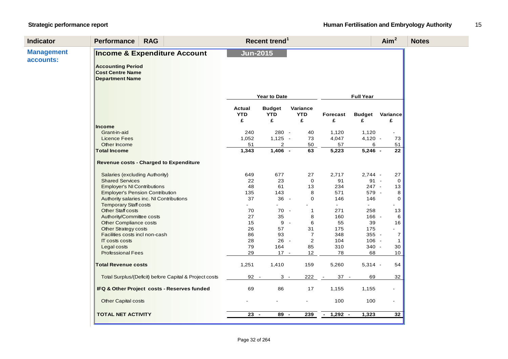| <b>Indicator</b>               | <b>Performance</b>                                                           | <b>RAG</b>                                             | Aim <sup>2</sup><br>Recent trend <sup>1</sup> |                                  |                             |                   |                             |                                | <b>Notes</b> |
|--------------------------------|------------------------------------------------------------------------------|--------------------------------------------------------|-----------------------------------------------|----------------------------------|-----------------------------|-------------------|-----------------------------|--------------------------------|--------------|
| <b>Management</b><br>accounts: | <b>Accounting Period</b><br>Cost Centre Name<br>Department Name              | Income & Expenditure Account                           | <b>Jun-2015</b>                               |                                  |                             |                   |                             |                                |              |
|                                |                                                                              |                                                        |                                               | Year to Date                     |                             |                   | <b>Full Year</b>            |                                |              |
|                                |                                                                              |                                                        | Actual<br><b>YTD</b><br>£                     | <b>Budget</b><br><b>YTD</b><br>£ | Variance<br><b>YTD</b><br>£ | Forecast<br>£     | <b>Budget</b><br>£          | Variance<br>£                  |              |
|                                | Income<br>Grant-in-aid<br><b>Licence Fees</b>                                |                                                        | 240<br>1,052                                  | 280 -<br>$1,125 -$               | 40<br>73                    | 1,120<br>4,047    | 1,120<br>$4,120 -$          | 73                             |              |
|                                | Other Income<br><b>Total Income</b>                                          |                                                        | 51<br>1,343                                   | 2<br>$1,406 -$                   | 50<br>63                    | 57<br>5,223       | 6<br>$5,246 -$              | 51<br>$\overline{22}$          |              |
|                                |                                                                              | Revenue costs - Charged to Expenditure                 |                                               |                                  |                             |                   |                             |                                |              |
|                                | Salaries (excluding Authority)<br><b>Shared Services</b>                     |                                                        | 649<br>22                                     | 677<br>23                        | 27<br>$\mathbf 0$           | 2,717<br>91       | $2,744 -$<br>$91 -$         | 27<br>$\overline{0}$           |              |
|                                | <b>Employer's NI Contributions</b><br><b>Employer's Pension Contribution</b> | Authority salaries inc. NI Contributions               | 48<br>135<br>37                               | 61<br>143<br>36                  | 13<br>8<br>0<br>$\sim$ $-$  | 234<br>571<br>146 | $247 -$<br>579 -<br>146     | 13<br>8<br>0                   |              |
|                                | <b>Temporary Staff costs</b><br>Other Staff costs                            |                                                        | 70                                            | 70 -                             | $\mathbf{1}$                | $\sim$<br>271     | $\omega$ .<br>258           | 13                             |              |
|                                | Authority/Committee costs<br>Other Compliance costs<br>Other Strategy costs  |                                                        | 27<br>15<br>26                                | 35<br>9<br>57                    | 8<br>6<br>$\sim$ $-$<br>31  | 160<br>55<br>175  | $166 -$<br>39<br>175        | 6<br>16                        |              |
|                                | Facilities costs incl non-cash<br>IT costs costs                             |                                                        | 86<br>28<br>79                                | 93<br>$26 -$<br>164              | $\overline{7}$<br>2         | 348<br>104        | 355 -<br>$106 -$<br>$340 -$ | $\overline{7}$<br>$\mathbf{1}$ |              |
|                                | Legal costs<br><b>Professional Fees</b>                                      |                                                        | 29                                            | $17 -$                           | 85<br>12                    | 310<br>78         | 68                          | 30<br>10 <sup>1</sup>          |              |
|                                | <b>Total Revenue costs</b>                                                   |                                                        | 1,251                                         | 1,410                            | 159                         | 5,260             | $5,314 -$                   | 54                             |              |
|                                |                                                                              | Total Surplus/(Deficit) before Capital & Project costs | 92 -                                          | $3 -$                            | 222                         | $37 -$            | 69                          | 32                             |              |
|                                |                                                                              | IFQ & Other Project costs - Reserves funded            | 69                                            | 86                               | 17                          | 1,155             | 1,155                       |                                |              |
|                                | Other Capital costs                                                          |                                                        |                                               |                                  | ÷.                          | 100               | 100                         | $\sim$                         |              |
|                                | <b>TOTAL NET ACTIVITY</b>                                                    |                                                        | $23 -$                                        | 89 -                             | 239                         | $1,292 -$         | 1,323                       | 32                             |              |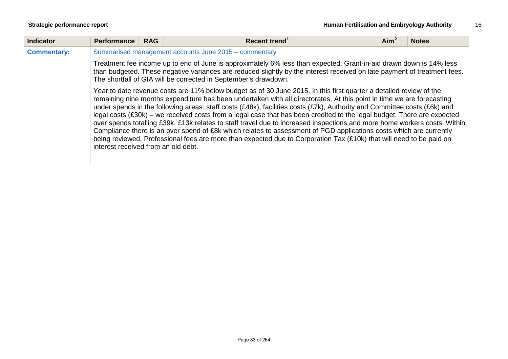| <b>Indicator</b>   | <b>Performance</b>                                                                                                                                                                                                                                                                                                | <b>RAG</b>                                            | Recent trend <sup>1</sup><br>Aim <sup>2</sup><br><b>Notes</b>                                                                                                                                                                                                                                                                                                                                                                                                                                                                                                                                                                                                                                                                                                                                                                                                                |  |  |  |  |  |  |
|--------------------|-------------------------------------------------------------------------------------------------------------------------------------------------------------------------------------------------------------------------------------------------------------------------------------------------------------------|-------------------------------------------------------|------------------------------------------------------------------------------------------------------------------------------------------------------------------------------------------------------------------------------------------------------------------------------------------------------------------------------------------------------------------------------------------------------------------------------------------------------------------------------------------------------------------------------------------------------------------------------------------------------------------------------------------------------------------------------------------------------------------------------------------------------------------------------------------------------------------------------------------------------------------------------|--|--|--|--|--|--|
| <b>Commentary:</b> |                                                                                                                                                                                                                                                                                                                   | Summarised management accounts June 2015 - commentary |                                                                                                                                                                                                                                                                                                                                                                                                                                                                                                                                                                                                                                                                                                                                                                                                                                                                              |  |  |  |  |  |  |
|                    | Treatment fee income up to end of June is approximately 6% less than expected. Grant-in-aid drawn down is 14% less<br>than budgeted. These negative variances are reduced slightly by the interest received on late payment of treatment fees.<br>The shortfall of GIA will be corrected in September's drawdown. |                                                       |                                                                                                                                                                                                                                                                                                                                                                                                                                                                                                                                                                                                                                                                                                                                                                                                                                                                              |  |  |  |  |  |  |
|                    | interest received from an old debt.                                                                                                                                                                                                                                                                               |                                                       | Year to date revenue costs are 11% below budget as of 30 June 2015. In this first quarter a detailed review of the<br>remaining nine months expenditure has been undertaken with all directorates. At this point in time we are forecasting<br>under spends in the following areas: staff costs (£48k), facilities costs (£7k), Authority and Committee costs (£6k) and<br>legal costs (£30k) – we received costs from a legal case that has been credited to the legal budget. There are expected<br>over spends totalling £39k. £13k relates to staff travel due to increased inspections and more home workers costs. Within<br>Compliance there is an over spend of £8k which relates to assessment of PGD applications costs which are currently<br>being reviewed. Professional fees are more than expected due to Corporation Tax (£10k) that will need to be paid on |  |  |  |  |  |  |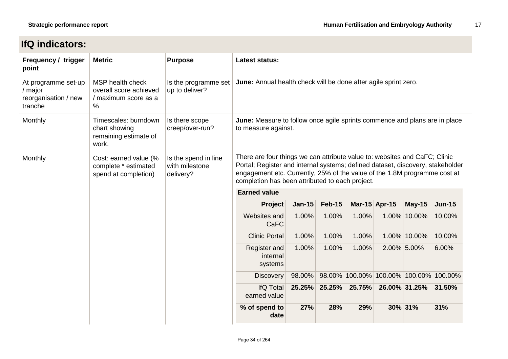# **IfQ indicators:**

| Frequency / trigger<br>point                                                     | <b>Metric</b>                                                              | <b>Purpose</b>                                                                                                                                                                                                                                                                               | Latest status:                                                                                    |               |               |        |                                        |               |               |  |  |  |  |                                     |       |       |       |  |             |
|----------------------------------------------------------------------------------|----------------------------------------------------------------------------|----------------------------------------------------------------------------------------------------------------------------------------------------------------------------------------------------------------------------------------------------------------------------------------------|---------------------------------------------------------------------------------------------------|---------------|---------------|--------|----------------------------------------|---------------|---------------|--|--|--|--|-------------------------------------|-------|-------|-------|--|-------------|
| At programme set-up<br>/ major<br>reorganisation / new<br>tranche                | MSP health check<br>overall score achieved<br>/ maximum score as a<br>$\%$ | Is the programme set<br>up to deliver?                                                                                                                                                                                                                                                       | June: Annual health check will be done after agile sprint zero.                                   |               |               |        |                                        |               |               |  |  |  |  |                                     |       |       |       |  |             |
| Monthly                                                                          | Timescales: burndown<br>chart showing<br>remaining estimate of<br>work.    | Is there scope<br>creep/over-run?                                                                                                                                                                                                                                                            | June: Measure to follow once agile sprints commence and plans are in place<br>to measure against. |               |               |        |                                        |               |               |  |  |  |  |                                     |       |       |       |  |             |
| Monthly<br>Cost: earned value (%<br>complete * estimated<br>spend at completion) | Is the spend in line<br>with milestone<br>delivery?                        | There are four things we can attribute value to: websites and CaFC; Clinic<br>Portal; Register and internal systems; defined dataset, discovery, stakeholder<br>engagement etc. Currently, 25% of the value of the 1.8M programme cost at<br>completion has been attributed to each project. |                                                                                                   |               |               |        |                                        |               |               |  |  |  |  |                                     |       |       |       |  |             |
|                                                                                  |                                                                            |                                                                                                                                                                                                                                                                                              | <b>Earned value</b>                                                                               |               |               |        |                                        |               |               |  |  |  |  |                                     |       |       |       |  |             |
|                                                                                  |                                                                            |                                                                                                                                                                                                                                                                                              | Project                                                                                           | <b>Jan-15</b> | <b>Feb-15</b> |        | Mar-15 Apr-15                          | $May-15$      | <b>Jun-15</b> |  |  |  |  |                                     |       |       |       |  |             |
|                                                                                  |                                                                            |                                                                                                                                                                                                                                                                                              | Websites and<br><b>CaFC</b>                                                                       | 1.00%         | 1.00%         | 1.00%  |                                        | 1.00% 10.00%  | 10.00%        |  |  |  |  |                                     |       |       |       |  |             |
|                                                                                  |                                                                            |                                                                                                                                                                                                                                                                                              | <b>Clinic Portal</b>                                                                              | 1.00%         | 1.00%         | 1.00%  |                                        | 1.00% 10.00%  | 10.00%        |  |  |  |  |                                     |       |       |       |  |             |
|                                                                                  |                                                                            |                                                                                                                                                                                                                                                                                              |                                                                                                   |               |               |        |                                        |               |               |  |  |  |  | Register and<br>internal<br>systems | 1.00% | 1.00% | 1.00% |  | 2.00% 5.00% |
|                                                                                  |                                                                            | <b>Discovery</b>                                                                                                                                                                                                                                                                             | 98.00%                                                                                            |               |               |        | 98.00% 100.00% 100.00% 100.00% 100.00% |               |               |  |  |  |  |                                     |       |       |       |  |             |
|                                                                                  |                                                                            |                                                                                                                                                                                                                                                                                              | <b>IfQ Total</b><br>earned value                                                                  | 25.25%        | 25.25%        | 25.75% |                                        | 26.00% 31.25% | 31.50%        |  |  |  |  |                                     |       |       |       |  |             |
|                                                                                  |                                                                            | % of spend to<br>date                                                                                                                                                                                                                                                                        | 27%                                                                                               | 28%           | 29%           |        | 30% 31%                                | 31%           |               |  |  |  |  |                                     |       |       |       |  |             |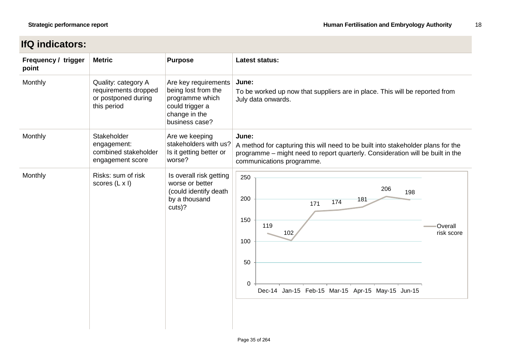# **IfQ indicators:**

| Frequency / trigger<br>point | <b>Metric</b>                                                                     | <b>Purpose</b>                                                                                                       | <b>Latest status:</b>                                                                                                                                                                                    |  |  |  |
|------------------------------|-----------------------------------------------------------------------------------|----------------------------------------------------------------------------------------------------------------------|----------------------------------------------------------------------------------------------------------------------------------------------------------------------------------------------------------|--|--|--|
| Monthly                      | Quality: category A<br>requirements dropped<br>or postponed during<br>this period | Are key requirements<br>being lost from the<br>programme which<br>could trigger a<br>change in the<br>business case? | June:<br>To be worked up now that suppliers are in place. This will be reported from<br>July data onwards.                                                                                               |  |  |  |
| Monthly                      | Stakeholder<br>engagement:<br>combined stakeholder<br>engagement score            | Are we keeping<br>stakeholders with us?<br>Is it getting better or<br>worse?                                         | June:<br>A method for capturing this will need to be built into stakeholder plans for the<br>programme - might need to report quarterly. Consideration will be built in the<br>communications programme. |  |  |  |
| Monthly                      | Risks: sum of risk<br>scores $(L \times I)$                                       | Is overall risk getting<br>worse or better<br>(could identify death<br>by a thousand<br>cuts)?                       | 250<br>206<br>198<br>200<br>181<br>174<br>171<br>150<br>119<br>Overall<br>102<br>risk score<br>100<br>50<br>0<br>Dec-14 Jan-15 Feb-15 Mar-15 Apr-15 May-15 Jun-15                                        |  |  |  |